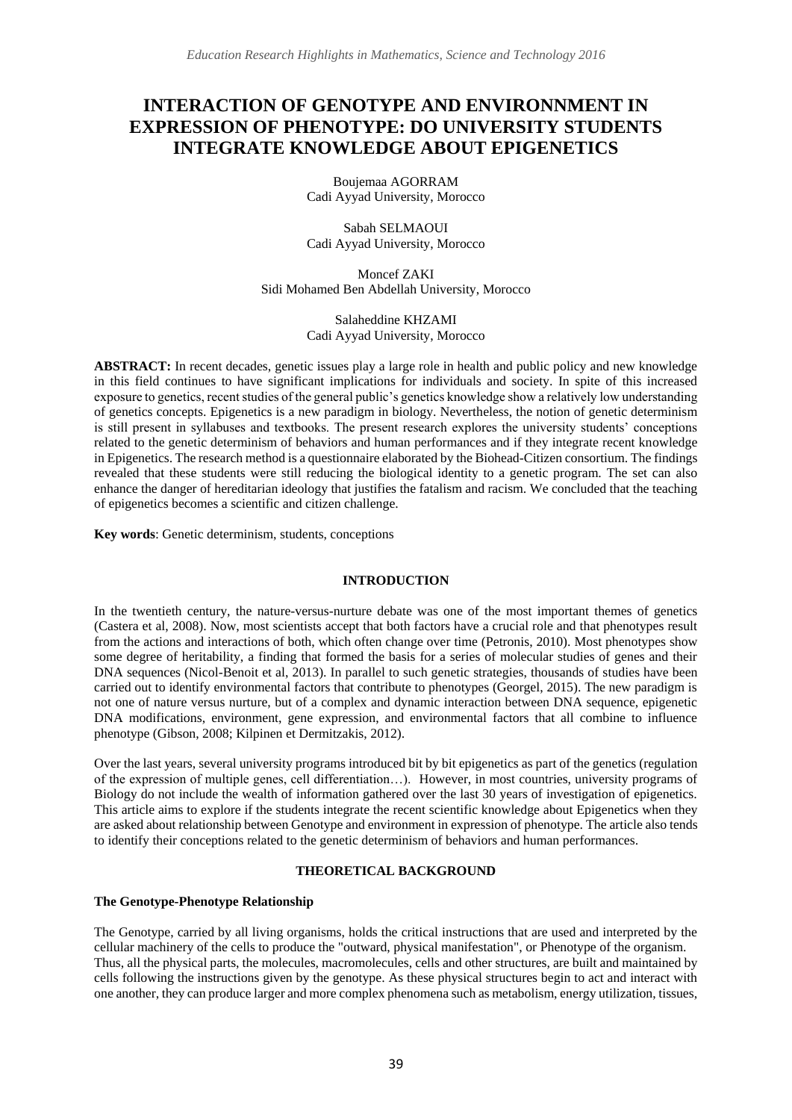# **INTERACTION OF GENOTYPE AND ENVIRONNMENT IN EXPRESSION OF PHENOTYPE: DO UNIVERSITY STUDENTS INTEGRATE KNOWLEDGE ABOUT EPIGENETICS**

Boujemaa AGORRAM Cadi Ayyad University, Morocco

Sabah SELMAOUI Cadi Ayyad University, Morocco

Moncef ZAKI Sidi Mohamed Ben Abdellah University, Morocco

> Salaheddine KHZAMI Cadi Ayyad University, Morocco

**ABSTRACT:** In recent decades, genetic issues play a large role in health and public policy and new knowledge in this field continues to have significant implications for individuals and society. In spite of this increased exposure to genetics, recent studies of the general public's genetics knowledge show a relatively low understanding of genetics concepts. Epigenetics is a new paradigm in biology. Nevertheless, the notion of genetic determinism is still present in syllabuses and textbooks. The present research explores the university students' conceptions related to the genetic determinism of behaviors and human performances and if they integrate recent knowledge in Epigenetics. The research method is a questionnaire elaborated by the Biohead-Citizen consortium. The findings revealed that these students were still reducing the biological identity to a genetic program. The set can also enhance the danger of hereditarian ideology that justifies the fatalism and racism. We concluded that the teaching of epigenetics becomes a scientific and citizen challenge.

**Key words**: Genetic determinism, students, conceptions

## **INTRODUCTION**

In the twentieth century, the nature-versus-nurture debate was one of the most important themes of genetics (Castera et al, 2008). Now, most scientists accept that both factors have a crucial role and that phenotypes result from the actions and interactions of both, which often change over time (Petronis, 2010). Most phenotypes show some degree of heritability, a finding that formed the basis for a series of molecular studies of genes and their DNA sequences (Nicol-Benoit et al, 2013). In parallel to such genetic strategies, thousands of studies have been carried out to identify environmental factors that contribute to phenotypes (Georgel, 2015). The new paradigm is not one of nature versus nurture, but of a complex and dynamic interaction between DNA sequence, epigenetic DNA modifications, environment, gene expression, and environmental factors that all combine to influence phenotype (Gibson, 2008; Kilpinen et Dermitzakis, 2012).

Over the last years, several university programs introduced bit by bit epigenetics as part of the genetics (regulation of the expression of multiple genes, cell differentiation…). However, in most countries, university programs of Biology do not include the wealth of information gathered over the last 30 years of investigation of epigenetics. This article aims to explore if the students integrate the recent scientific knowledge about Epigenetics when they are asked about relationship between Genotype and environment in expression of phenotype. The article also tends to identify their conceptions related to the genetic determinism of behaviors and human performances.

#### **THEORETICAL BACKGROUND**

#### **The Genotype-Phenotype Relationship**

The Genotype, carried by all living organisms, holds the critical instructions that are used and interpreted by the cellular machinery of the cells to produce the "outward, physical manifestation", or Phenotype of the organism. Thus, all the physical parts, the molecules, macromolecules, cells and other structures, are built and maintained by cells following the instructions given by the genotype. As these physical structures begin to act and interact with one another, they can produce larger and more complex phenomena such as metabolism, energy utilization, tissues,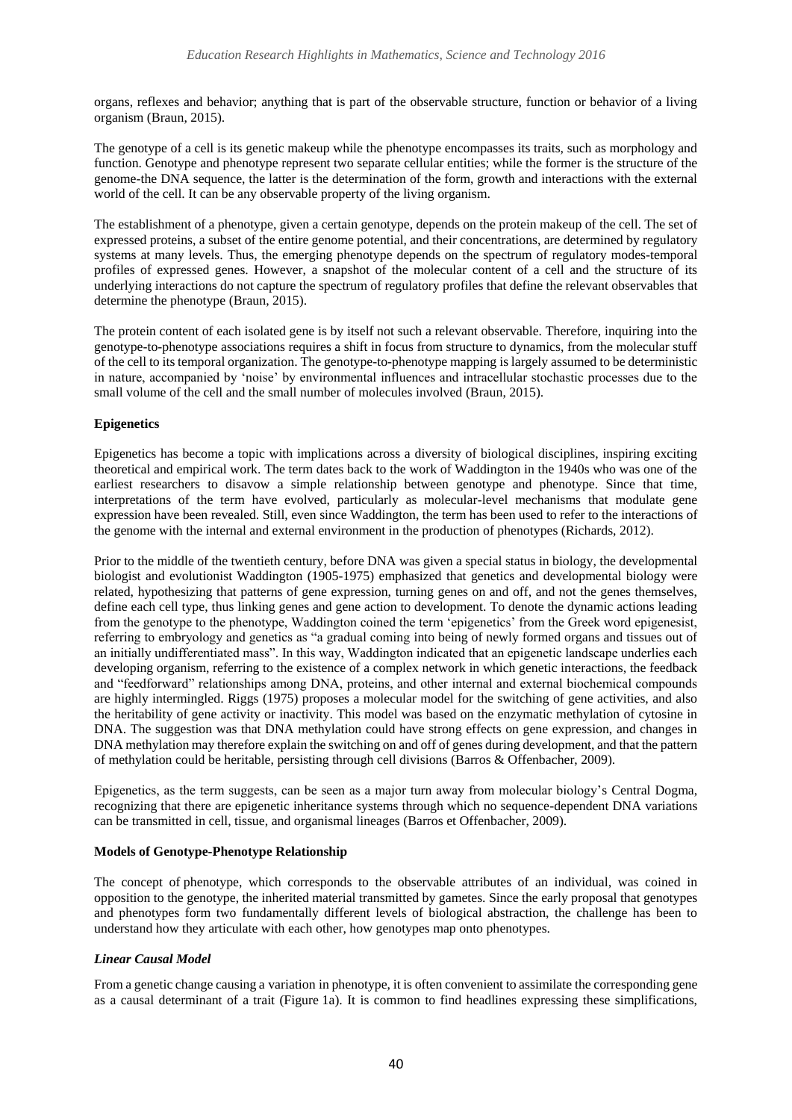organs, reflexes and behavior; anything that is part of the observable structure, function or behavior of a living organism (Braun, 2015).

The genotype of a cell is its genetic makeup while the phenotype encompasses its traits, such as morphology and function. Genotype and phenotype represent two separate cellular entities; while the former is the structure of the genome-the DNA sequence, the latter is the determination of the form, growth and interactions with the external world of the cell. It can be any observable property of the living organism.

The establishment of a phenotype, given a certain genotype, depends on the protein makeup of the cell. The set of expressed proteins, a subset of the entire genome potential, and their concentrations, are determined by regulatory systems at many levels. Thus, the emerging phenotype depends on the spectrum of regulatory modes-temporal profiles of expressed genes. However, a snapshot of the molecular content of a cell and the structure of its underlying interactions do not capture the spectrum of regulatory profiles that define the relevant observables that determine the phenotype (Braun, 2015).

The protein content of each isolated gene is by itself not such a relevant observable. Therefore, inquiring into the genotype-to-phenotype associations requires a shift in focus from structure to dynamics, from the molecular stuff of the cell to its temporal organization. The genotype-to-phenotype mapping is largely assumed to be deterministic in nature, accompanied by 'noise' by environmental influences and intracellular stochastic processes due to the small volume of the cell and the small number of molecules involved (Braun, 2015).

## **Epigenetics**

Epigenetics has become a topic with implications across a diversity of biological disciplines, inspiring exciting theoretical and empirical work. The term dates back to the work of Waddington in the 1940s who was one of the earliest researchers to disavow a simple relationship between genotype and phenotype. Since that time, interpretations of the term have evolved, particularly as molecular-level mechanisms that modulate gene expression have been revealed. Still, even since Waddington, the term has been used to refer to the interactions of the genome with the internal and external environment in the production of phenotypes (Richards, 2012).

Prior to the middle of the twentieth century, before DNA was given a special status in biology, the developmental biologist and evolutionist Waddington (1905-1975) emphasized that genetics and developmental biology were related, hypothesizing that patterns of gene expression, turning genes on and off, and not the genes themselves, define each cell type, thus linking genes and gene action to development. To denote the dynamic actions leading from the genotype to the phenotype, Waddington coined the term 'epigenetics' from the Greek word epigenesist, referring to embryology and genetics as "a gradual coming into being of newly formed organs and tissues out of an initially undifferentiated mass". In this way, Waddington indicated that an epigenetic landscape underlies each developing organism, referring to the existence of a complex network in which genetic interactions, the feedback and "feedforward" relationships among DNA, proteins, and other internal and external biochemical compounds are highly intermingled. Riggs (1975) proposes a molecular model for the switching of gene activities, and also the heritability of gene activity or inactivity. This model was based on the enzymatic methylation of cytosine in DNA. The suggestion was that DNA methylation could have strong effects on gene expression, and changes in DNA methylation may therefore explain the switching on and off of genes during development, and that the pattern of methylation could be heritable, persisting through cell divisions (Barros & Offenbacher, 2009).

Epigenetics, as the term suggests, can be seen as a major turn away from molecular biology's Central Dogma, recognizing that there are epigenetic inheritance systems through which no sequence-dependent DNA variations can be transmitted in cell, tissue, and organismal lineages (Barros et Offenbacher, 2009).

#### **Models of Genotype-Phenotype Relationship**

The concept of phenotype, which corresponds to the observable attributes of an individual, was coined in opposition to the genotype, the inherited material transmitted by gametes. Since the early proposal that genotypes and phenotypes form two fundamentally different levels of biological abstraction, the challenge has been to understand how they articulate with each other, how genotypes map onto phenotypes.

# *Linear Causal Model*

From a genetic change causing a variation in phenotype, it is often convenient to assimilate the corresponding gene as a causal determinant of a trait (Figure [1a\)](http://journal.frontiersin.org/article/10.3389/fgene.2015.00179/full#F1). It is common to find headlines expressing these simplifications,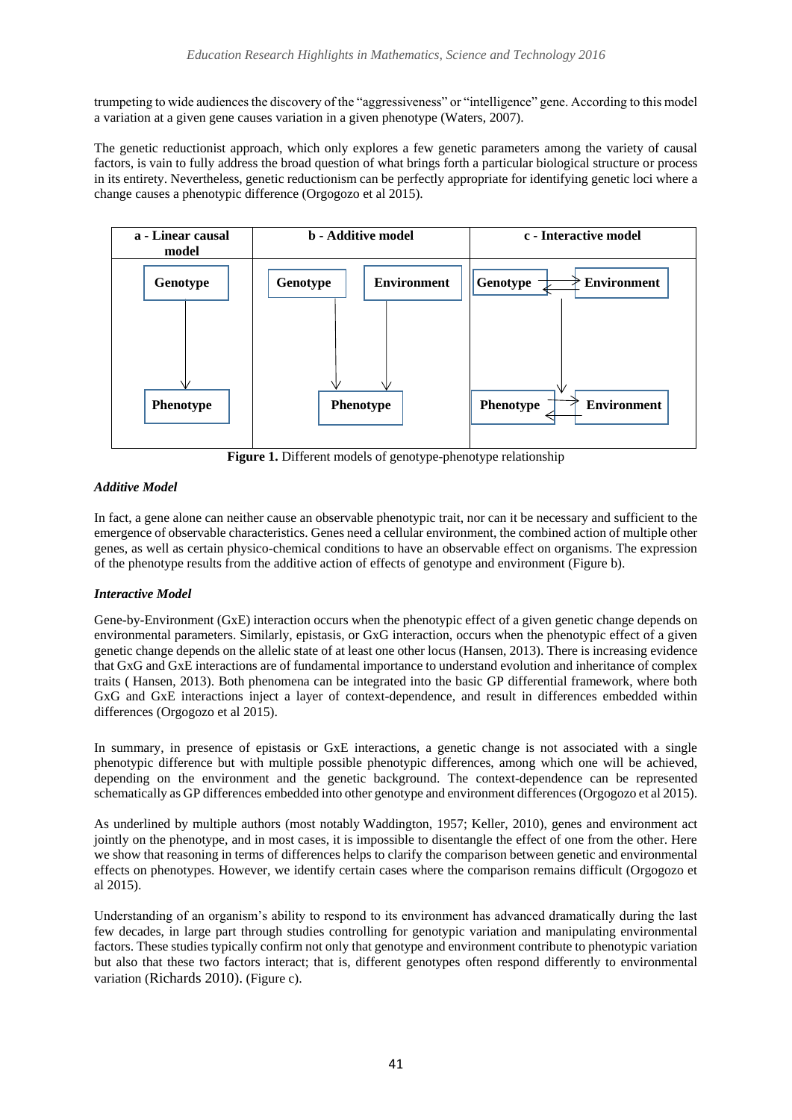trumpeting to wide audiences the discovery of the "aggressiveness" or "intelligence" gene. According to this model a variation at a given gene causes variation in a given phenotype [\(Waters, 2007\)](http://journal.frontiersin.org/article/10.3389/fgene.2015.00179/full#B100).

The genetic reductionist approach, which only explores a few genetic parameters among the variety of causal factors, is vain to fully address the broad question of what brings forth a particular biological structure or process in its entirety. Nevertheless, genetic reductionism can be perfectly appropriate for identifying genetic loci where a change causes a phenotypic difference (Orgogozo et al 2015).



**Figure 1.** Different models of genotype-phenotype relationship

# *Additive Model*

In fact, a gene alone can neither cause an observable phenotypic trait, nor can it be necessary and sufficient to the emergence of observable characteristics. Genes need a cellular environment, the combined action of multiple other genes, as well as certain physico-chemical conditions to have an observable effect on organisms. The expression of the phenotype results from the additive action of effects of genotype and environment (Figure b).

# *Interactive Model*

Gene-by-Environment (GxE) interaction occurs when the phenotypic effect of a given genetic change depends on environmental parameters. Similarly, epistasis, or GxG interaction, occurs when the phenotypic effect of a given genetic change depends on the allelic state of at least one other locus (Hansen, 2013). There is increasing evidence that GxG and GxE interactions are of fundamental importance to understand evolution and inheritance of complex traits ( Hansen, 2013). Both phenomena can be integrated into the basic GP differential framework, where both GxG and GxE interactions inject a layer of context-dependence, and result in differences embedded within differences (Orgogozo et al 2015).

In summary, in presence of epistasis or GxE interactions, a genetic change is not associated with a single phenotypic difference but with multiple possible phenotypic differences, among which one will be achieved, depending on the environment and the genetic background. The context-dependence can be represented schematically as GP differences embedded into other genotype and environment differences (Orgogozo et al 2015).

As underlined by multiple authors (most notably Waddington, 1957; Keller, 2010), genes and environment act jointly on the phenotype, and in most cases, it is impossible to disentangle the effect of one from the other. Here we show that reasoning in terms of differences helps to clarify the comparison between genetic and environmental effects on phenotypes. However, we identify certain cases where the comparison remains difficult (Orgogozo et al 2015).

Understanding of an organism's ability to respond to its environment has advanced dramatically during the last few decades, in large part through studies controlling for genotypic variation and manipulating environmental factors. These studies typically confirm not only that genotype and environment contribute to phenotypic variation but also that these two factors interact; that is, different genotypes often respond differently to environmental variation (Richards 2010). (Figure c).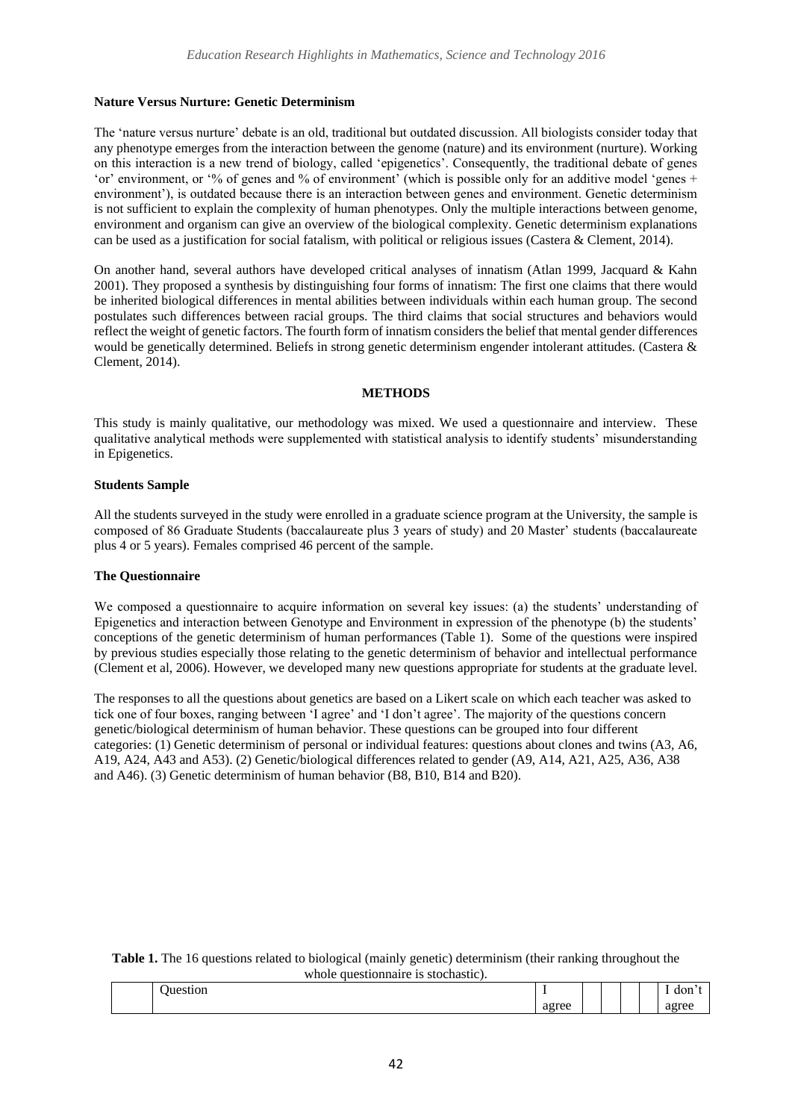#### **Nature Versus Nurture: Genetic Determinism**

The 'nature versus nurture' debate is an old, traditional but outdated discussion. All biologists consider today that any phenotype emerges from the interaction between the genome (nature) and its environment (nurture). Working on this interaction is a new trend of biology, called 'epigenetics'. Consequently, the traditional debate of genes 'or' environment, or '% of genes and % of environment' (which is possible only for an additive model 'genes + environment'), is outdated because there is an interaction between genes and environment. Genetic determinism is not sufficient to explain the complexity of human phenotypes. Only the multiple interactions between genome, environment and organism can give an overview of the biological complexity. Genetic determinism explanations can be used as a justification for social fatalism, with political or religious issues (Castera & Clement, 2014).

On another hand, several authors have developed critical analyses of innatism (Atlan 1999, Jacquard & Kahn 2001). They proposed a synthesis by distinguishing four forms of innatism: The first one claims that there would be inherited biological differences in mental abilities between individuals within each human group. The second postulates such differences between racial groups. The third claims that social structures and behaviors would reflect the weight of genetic factors. The fourth form of innatism considers the belief that mental gender differences would be genetically determined. Beliefs in strong genetic determinism engender intolerant attitudes. (Castera & Clement, 2014).

#### **METHODS**

This study is mainly qualitative, our methodology was mixed. We used a questionnaire and interview. These qualitative analytical methods were supplemented with statistical analysis to identify students' misunderstanding in Epigenetics.

#### **Students Sample**

All the students surveyed in the study were enrolled in a graduate science program at the University, the sample is composed of 86 Graduate Students (baccalaureate plus 3 years of study) and 20 Master' students (baccalaureate plus 4 or 5 years). Females comprised 46 percent of the sample.

#### **The Questionnaire**

We composed a questionnaire to acquire information on several key issues: (a) the students' understanding of Epigenetics and interaction between Genotype and Environment in expression of the phenotype (b) the students' conceptions of the genetic determinism of human performances (Table 1). Some of the questions were inspired by previous studies especially those relating to the genetic determinism of behavior and intellectual performance (Clement et al, 2006). However, we developed many new questions appropriate for students at the graduate level.

The responses to all the questions about genetics are based on a Likert scale on which each teacher was asked to tick one of four boxes, ranging between 'I agree' and 'I don't agree'. The majority of the questions concern genetic/biological determinism of human behavior. These questions can be grouped into four different categories: (1) Genetic determinism of personal or individual features: questions about clones and twins (A3, A6, A19, A24, A43 and A53). (2) Genetic/biological differences related to gender (A9, A14, A21, A25, A36, A38 and A46). (3) Genetic determinism of human behavior (B8, B10, B14 and B20).

| Table 1. The 16 questions related to biological (mainly genetic) determinism (their ranking throughout the |  |  |  |  |  |  |  |  |
|------------------------------------------------------------------------------------------------------------|--|--|--|--|--|--|--|--|
| whole question aire is stochastic).                                                                        |  |  |  |  |  |  |  |  |

| $\sim$ $\sim$ $\sim$ $\sim$ |                                          |  | $\sim$ $\sim$ |
|-----------------------------|------------------------------------------|--|---------------|
|                             | <b><i><u>A Andrew A</u></i></b><br>ueicc |  |               |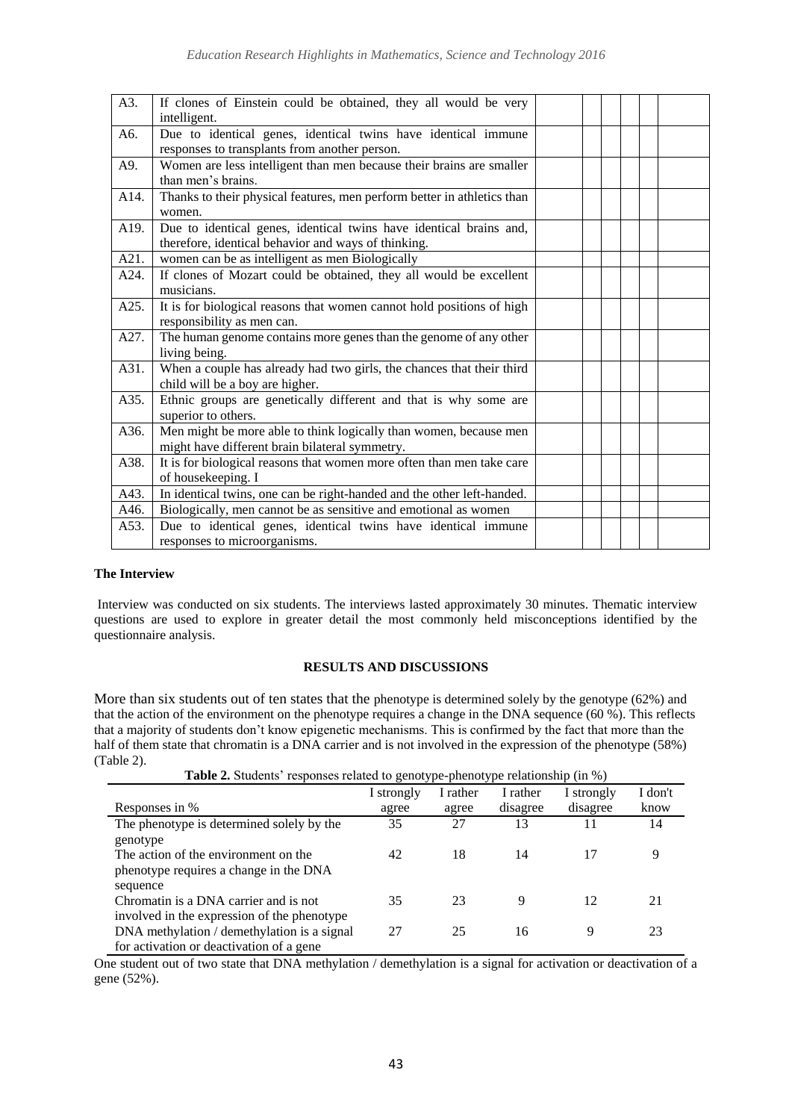| A3.               | If clones of Einstein could be obtained, they all would be very<br>intelligent.                                           |  |  |  |
|-------------------|---------------------------------------------------------------------------------------------------------------------------|--|--|--|
| A6.               | Due to identical genes, identical twins have identical immune<br>responses to transplants from another person.            |  |  |  |
| A9.               | Women are less intelligent than men because their brains are smaller<br>than men's brains.                                |  |  |  |
| A14.              | Thanks to their physical features, men perform better in athletics than<br>women.                                         |  |  |  |
| A <sub>19</sub> . | Due to identical genes, identical twins have identical brains and,<br>therefore, identical behavior and ways of thinking. |  |  |  |
| A21.              | women can be as intelligent as men Biologically                                                                           |  |  |  |
| A24.              | If clones of Mozart could be obtained, they all would be excellent<br>musicians.                                          |  |  |  |
| A25.              | It is for biological reasons that women cannot hold positions of high<br>responsibility as men can.                       |  |  |  |
| A27.              | The human genome contains more genes than the genome of any other<br>living being.                                        |  |  |  |
| A31.              | When a couple has already had two girls, the chances that their third<br>child will be a boy are higher.                  |  |  |  |
| A35.              | Ethnic groups are genetically different and that is why some are<br>superior to others.                                   |  |  |  |
| A36.              | Men might be more able to think logically than women, because men<br>might have different brain bilateral symmetry.       |  |  |  |
| A38.              | It is for biological reasons that women more often than men take care<br>of housekeeping. I                               |  |  |  |
| A43.              | In identical twins, one can be right-handed and the other left-handed.                                                    |  |  |  |
| A46.              | Biologically, men cannot be as sensitive and emotional as women                                                           |  |  |  |
| A53.              | Due to identical genes, identical twins have identical immune<br>responses to microorganisms.                             |  |  |  |

#### **The Interview**

Interview was conducted on six students. The interviews lasted approximately 30 minutes. Thematic interview questions are used to explore in greater detail the most commonly held misconceptions identified by the questionnaire analysis.

#### **RESULTS AND DISCUSSIONS**

More than six students out of ten states that the phenotype is determined solely by the genotype (62%) and that the action of the environment on the phenotype requires a change in the DNA sequence (60 %). This reflects that a majority of students don't know epigenetic mechanisms. This is confirmed by the fact that more than the half of them state that chromatin is a DNA carrier and is not involved in the expression of the phenotype (58%) (Table 2).

**Table 2.** Students' responses related to genotype-phenotype relationship (in %)

| ō                                           |            |          |          |            |         |  |  |  |
|---------------------------------------------|------------|----------|----------|------------|---------|--|--|--|
|                                             | I strongly | I rather | I rather | I strongly | I don't |  |  |  |
| Responses in %                              | agree      | agree    | disagree | disagree   | know    |  |  |  |
| The phenotype is determined solely by the   | 35         | 27       | 13       | 11         | 14      |  |  |  |
| genotype                                    |            |          |          |            |         |  |  |  |
| The action of the environment on the        | 42         | 18       | 14       | 17         | 9       |  |  |  |
| phenotype requires a change in the DNA      |            |          |          |            |         |  |  |  |
| sequence                                    |            |          |          |            |         |  |  |  |
| Chromatin is a DNA carrier and is not       | 35         | 23       | 9        | 12         | 21      |  |  |  |
| involved in the expression of the phenotype |            |          |          |            |         |  |  |  |
| DNA methylation / demethylation is a signal | 27         | 25       | 16       | 9          | 23      |  |  |  |
| for activation or deactivation of a gene    |            |          |          |            |         |  |  |  |

One student out of two state that DNA methylation / demethylation is a signal for activation or deactivation of a gene (52%).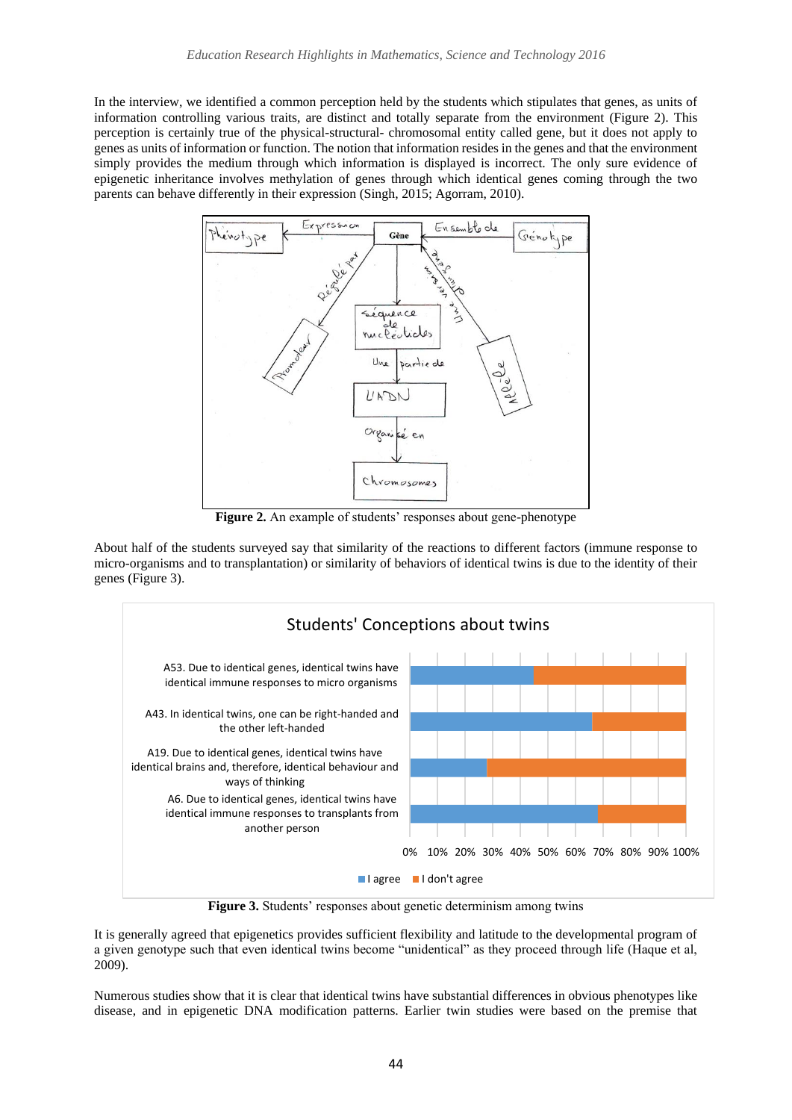In the interview, we identified a common perception held by the students which stipulates that genes, as units of information controlling various traits, are distinct and totally separate from the environment (Figure 2). This perception is certainly true of the physical-structural- chromosomal entity called gene, but it does not apply to genes as units of information or function. The notion that information resides in the genes and that the environment simply provides the medium through which information is displayed is incorrect. The only sure evidence of epigenetic inheritance involves methylation of genes through which identical genes coming through the two parents can behave differently in their expression (Singh, 2015; Agorram, 2010).



**Figure 2.** An example of students' responses about gene-phenotype

About half of the students surveyed say that similarity of the reactions to different factors (immune response to micro-organisms and to transplantation) or similarity of behaviors of identical twins is due to the identity of their genes (Figure 3).



**Figure 3.** Students' responses about genetic determinism among twins

It is generally agreed that epigenetics provides sufficient flexibility and latitude to the developmental program of a given genotype such that even identical twins become "unidentical" as they proceed through life (Haque et al, 2009).

Numerous studies show that it is clear that identical twins have substantial differences in obvious phenotypes like disease, and in epigenetic DNA modification patterns. Earlier twin studies were based on the premise that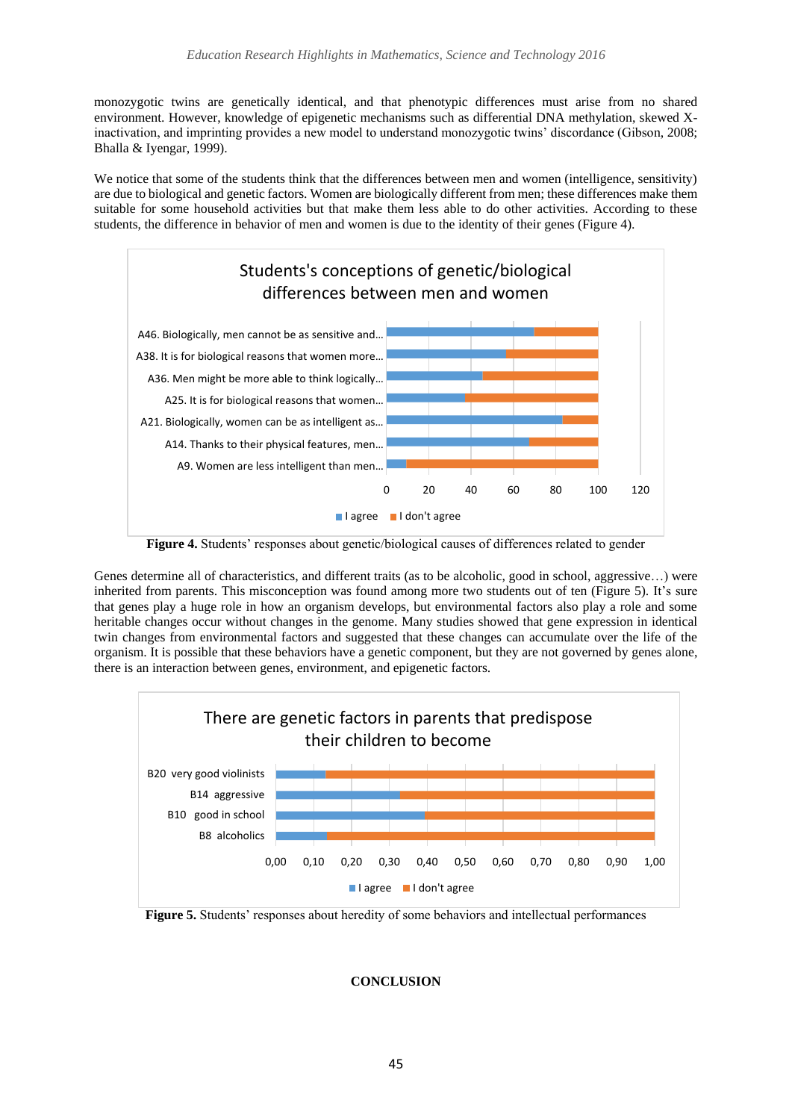monozygotic twins are genetically identical, and that phenotypic differences must arise from no shared environment. However, knowledge of epigenetic mechanisms such as differential DNA methylation, skewed Xinactivation, and imprinting provides a new model to understand monozygotic twins' discordance (Gibson, 2008; Bhalla & Iyengar, 1999).

We notice that some of the students think that the differences between men and women (intelligence, sensitivity) are due to biological and genetic factors. Women are biologically different from men; these differences make them suitable for some household activities but that make them less able to do other activities. According to these students, the difference in behavior of men and women is due to the identity of their genes (Figure 4).



**Figure 4.** Students' responses about genetic/biological causes of differences related to gender

Genes determine all of characteristics, and different traits (as to be alcoholic, good in school, aggressive…) were inherited from parents. This misconception was found among more two students out of ten (Figure 5). It's sure that genes play a huge role in how an organism develops, but environmental factors also play a role and some heritable changes occur without changes in the genome. Many studies showed that gene expression in identical twin changes from environmental factors and suggested that these changes can accumulate over the life of the organism. It is possible that these behaviors have a genetic component, but they are not governed by genes alone, there is an interaction between genes, environment, and epigenetic factors.



**Figure 5.** Students' responses about heredity of some behaviors and intellectual performances

# **CONCLUSION**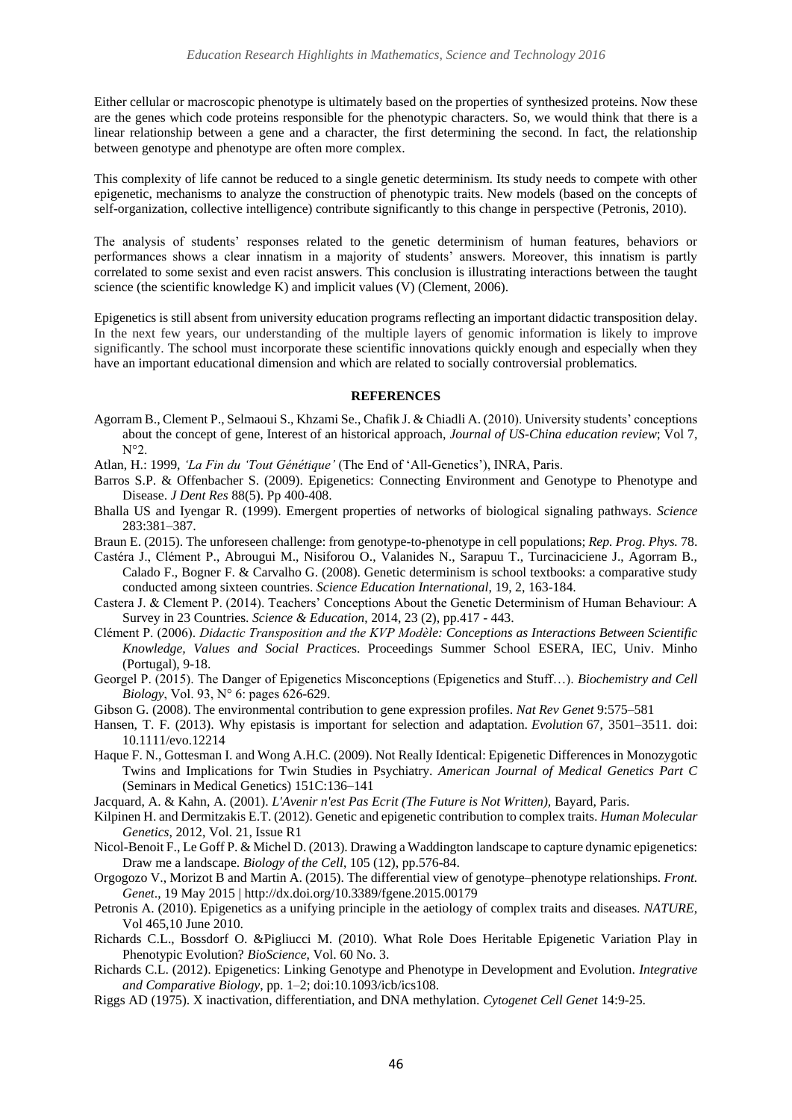Either cellular or macroscopic phenotype is ultimately based on the properties of synthesized proteins. Now these are the genes which code proteins responsible for the phenotypic characters. So, we would think that there is a linear relationship between a gene and a character, the first determining the second. In fact, the relationship between genotype and phenotype are often more complex.

This complexity of life cannot be reduced to a single genetic determinism. Its study needs to compete with other epigenetic, mechanisms to analyze the construction of phenotypic traits. New models (based on the concepts of self-organization, collective intelligence) contribute significantly to this change in perspective (Petronis, 2010).

The analysis of students' responses related to the genetic determinism of human features, behaviors or performances shows a clear innatism in a majority of students' answers. Moreover, this innatism is partly correlated to some sexist and even racist answers. This conclusion is illustrating interactions between the taught science (the scientific knowledge K) and implicit values (V) (Clement, 2006).

Epigenetics is still absent from university education programs reflecting an important didactic transposition delay. In the next few years, our understanding of the multiple layers of genomic information is likely to improve significantly. The school must incorporate these scientific innovations quickly enough and especially when they have an important educational dimension and which are related to socially controversial problematics.

#### **REFERENCES**

- Agorram B., Clement P., Selmaoui S., Khzami Se., Chafik J. & Chiadli A. (2010). University students' conceptions about the concept of gene, Interest of an historical approach, *Journal of US-China education review*; Vol 7, N°2.
- Atlan, H.: 1999, *'La Fin du 'Tout Génétique'* (The End of 'All-Genetics'), INRA, Paris.
- Barros S.P. & Offenbacher S. (2009). Epigenetics: Connecting Environment and Genotype to Phenotype and Disease. *J Dent Res* 88(5). Pp 400-408.
- Bhalla US and Iyengar R. (1999). Emergent properties of networks of biological signaling pathways. *Science*  283:381–387.
- Braun E. (2015). The unforeseen challenge: from genotype-to-phenotype in cell populations; *Rep. Prog. Phys.* 78.
- Castéra J., Clément P., Abrougui M., Nisiforou O., Valanides N., Sarapuu T., Turcinaciciene J., Agorram B., Calado F., Bogner F. & Carvalho G. (2008). Genetic determinism is school textbooks: a comparative study conducted among sixteen countries. *Science Education International*, 19, 2, 163-184.
- Castera J. & Clement P. (2014). Teachers' Conceptions About the Genetic Determinism of Human Behaviour: A Survey in 23 Countries. *Science & Education*, 2014, 23 (2), pp.417 - 443.
- Clément P. (2006). *Didactic Transposition and the KVP Modèle: Conceptions as Interactions Between Scientific Knowledge, Values and Social Practice*s. Proceedings Summer School ESERA, IEC, Univ. Minho (Portugal), 9-18.
- Georgel P. (2015). The Danger of Epigenetics Misconceptions (Epigenetics and Stuff…). *Biochemistry and Cell Biology*, Vol. 93, N° 6: pages 626-629.
- Gibson G. (2008). The environmental contribution to gene expression profiles. *Nat Rev Genet* 9:575–581
- Hansen, T. F. (2013). Why epistasis is important for selection and adaptation. *Evolution* 67, 3501–3511. doi: 10.1111/evo.12214
- Haque F. N., Gottesman I. and Wong A.H.C. (2009). Not Really Identical: Epigenetic Differences in Monozygotic Twins and Implications for Twin Studies in Psychiatry. *American Journal of Medical Genetics Part C* (Seminars in Medical Genetics) 151C:136–141

Jacquard, A. & Kahn, A. (2001). *L'Avenir n'est Pas Ecrit (The Future is Not Written),* Bayard, Paris.

- Kilpinen H. and Dermitzakis E.T. (2012). Genetic and epigenetic contribution to complex traits. *Human Molecular Genetics*, 2012, Vol. 21, Issue R1
- Nicol-Benoit F., Le Goff P. & Michel D. (2013). Drawing a Waddington landscape to capture dynamic epigenetics: Draw me a landscape. *Biology of the Cell*, 105 (12), pp.576-84.
- Orgogozo V., Morizot B and Martin A. (2015). The differential view of genotype–phenotype relationships. *Front. Genet*., 19 May 2015 | http://dx.doi.org/10.3389/fgene.2015.00179
- Petronis A. (2010). Epigenetics as a unifying principle in the aetiology of complex traits and diseases. *NATURE*, Vol 465,10 June 2010.
- Richards C.L., Bossdorf O. &Pigliucci M. (2010). What Role Does Heritable Epigenetic Variation Play in Phenotypic Evolution? *BioScience*, Vol. 60 No. 3.
- Richards C.L. (2012). Epigenetics: Linking Genotype and Phenotype in Development and Evolution. *Integrative and Comparative Biology*, pp. 1–2; doi:10.1093/icb/ics108.
- Riggs AD (1975). X inactivation, differentiation, and DNA methylation. *Cytogenet Cell Genet* 14:9-25.